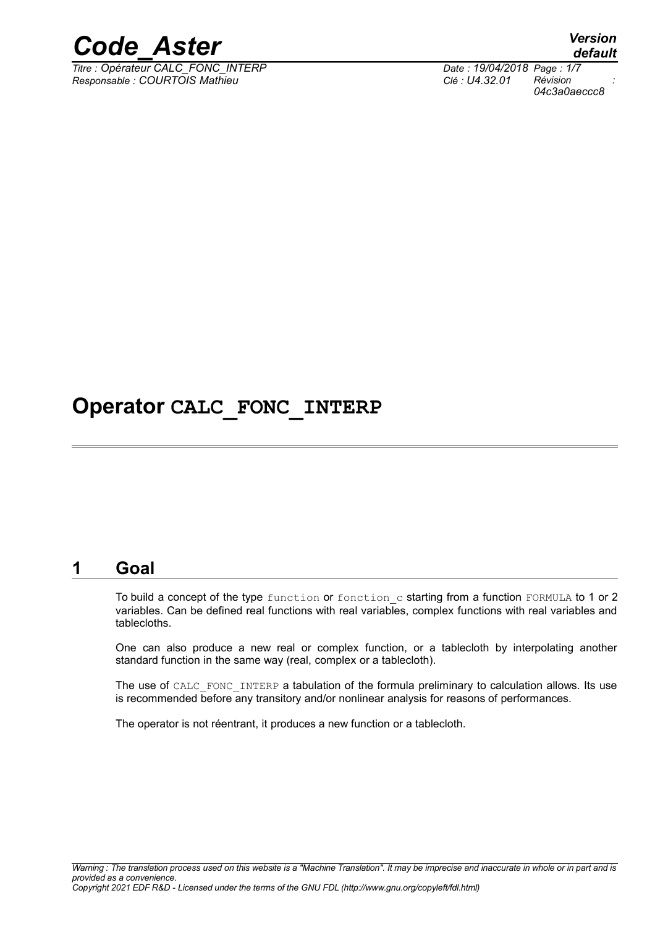

*Titre : Opérateur CALC\_FONC\_INTERP Date : 19/04/2018 Page : 1/7 Responsable : COURTOIS Mathieu Clé : U4.32.01 Révision :*

*default 04c3a0aeccc8*

### **Operator CALC\_FONC\_INTERP**

#### **1 Goal**

To build a concept of the type function or fonction c starting from a function FORMULA to 1 or 2 variables. Can be defined real functions with real variables, complex functions with real variables and tablecloths.

One can also produce a new real or complex function, or a tablecloth by interpolating another standard function in the same way (real, complex or a tablecloth).

The use of CALC\_FONC\_INTERP a tabulation of the formula preliminary to calculation allows. Its use is recommended before any transitory and/or nonlinear analysis for reasons of performances.

The operator is not réentrant, it produces a new function or a tablecloth.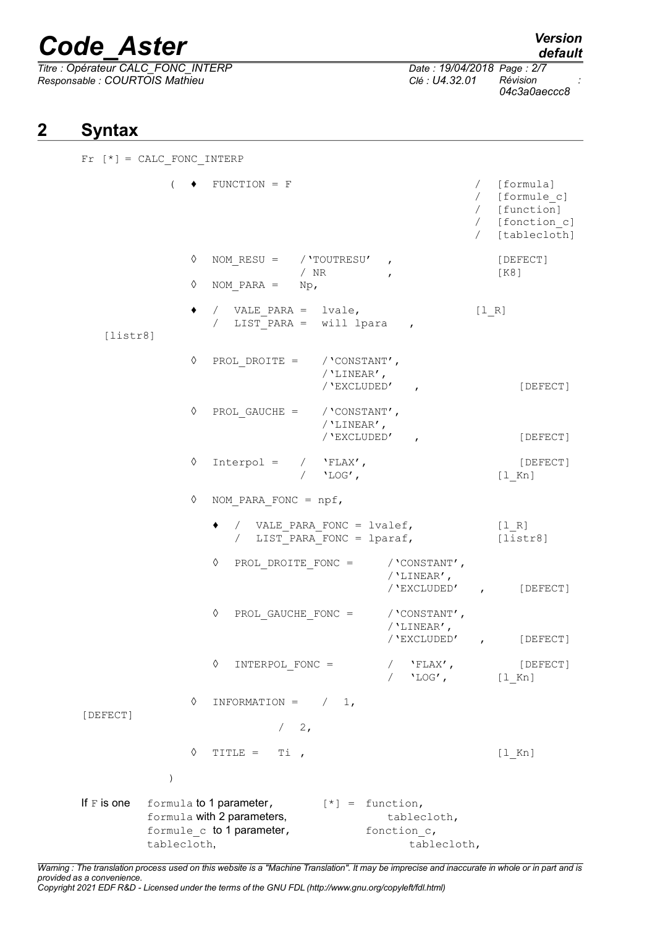$\overline{T}$ itre : Opérateur CALC\_FONC\_INTERP *Responsable : COURTOIS Mathieu Clé : U4.32.01 Révision :*

*04c3a0aeccc8*

### **2 Syntax**

 $Fr$   $[*] = CALC$  FONC INTERP (  $\bullet$  FUNCTION = F / [formula] / [formule\_c] / [function] / [fonction\_c] / [tablecloth] ◊ NOM\_RESU = /'TOUTRESU' , [DEFECT] / NR , [K8]  $\Diamond$  NOM PARA = Np, ♦ / VALE\_PARA = lvale, [l\_R] / LIST PARA = will lpara , [listr8] ◊ PROL\_DROITE = /'CONSTANT', /'LINEAR', /'EXCLUDED' , [DEFECT] ◊ PROL\_GAUCHE = /'CONSTANT', /'LINEAR', /'EXCLUDED' , [DEFECT] ◊ Interpol = / 'FLAX', [DEFECT] / 'LOG', [l\_Kn] ◊ NOM\_PARA\_FONC = npf, ♦ / VALE\_PARA\_FONC = lvalef, [l\_R] /  $LIST^TPARA$  FONC = lparaf,  $[istr8]$ ◊ PROL\_DROITE\_FONC = /'CONSTANT', /'LINEAR', /'EXCLUDED' , [DEFECT] ◊ PROL\_GAUCHE\_FONC = /'CONSTANT', /'LINEAR', /'EXCLUDED' , [DEFECT] ◊ INTERPOL\_FONC = / 'FLAX', [DEFECT] 'LOG', [l Kn]  $\Diamond$  INFORMATION =  $/ 1$ , [DEFECT]  $/2$ ,  $\Diamond$  TITLE = Ti, ) If F is one formula to 1 parameter,  $[*] =$  function, formula with 2 parameters, tablecloth, formule c to 1 parameter, fonction c, tablecloth, tablecloth,

*Warning : The translation process used on this website is a "Machine Translation". It may be imprecise and inaccurate in whole or in part and is provided as a convenience. Copyright 2021 EDF R&D - Licensed under the terms of the GNU FDL (http://www.gnu.org/copyleft/fdl.html)*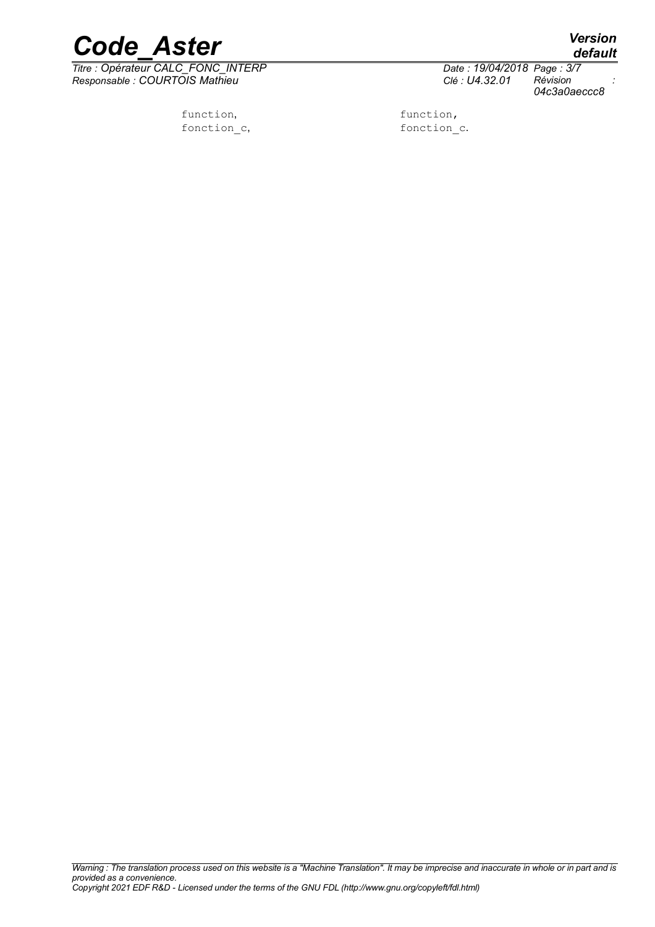

*Titre : Opérateur CALC\_FONC\_INTERP Date : 19/04/2018 Page : 3/7 Responsable : COURTOIS Mathieu Clé : U4.32.01 Révision :*

function, function,

*default*

*04c3a0aeccc8*

fonction c, fonction c.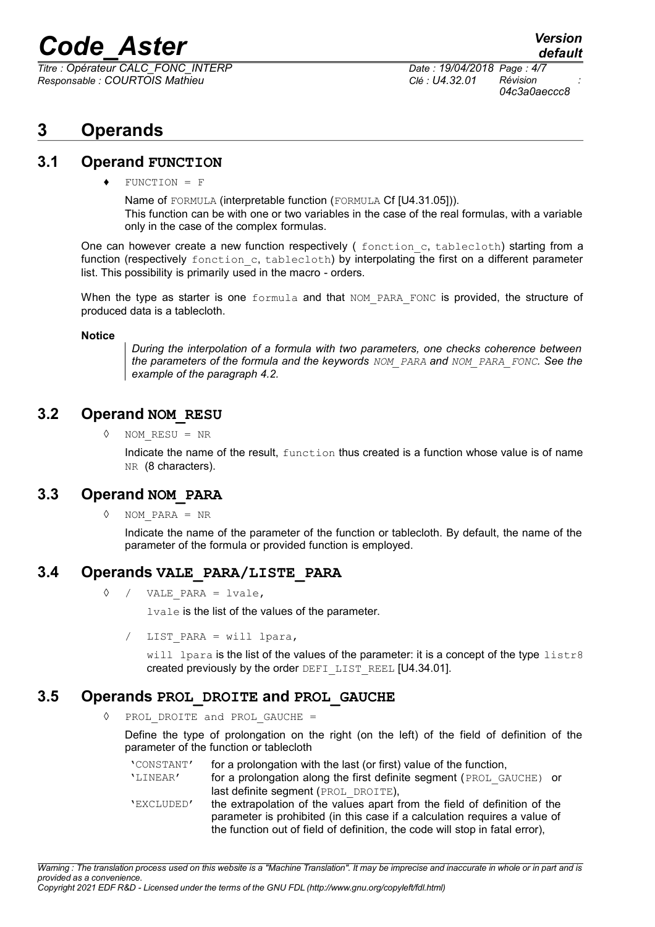*Titre : Opérateur CALC\_FONC\_INTERP Date : 19/04/2018 Page : 4/7 Responsable : COURTOIS Mathieu Clé : U4.32.01 Révision :*

### **3 Operands**

#### **3.1 Operand FUNCTION**

 $FUNCTION = F$ 

Name of FORMULA (interpretable function (FORMULA Cf [U4.31.05])). This function can be with one or two variables in the case of the real formulas, with a variable only in the case of the complex formulas.

One can however create a new function respectively ( $f$ onction c, tablecloth) starting from a function (respectively fonction c, tablecloth) by interpolating the first on a different parameter list. This possibility is primarily used in the macro - orders.

When the type as starter is one formula and that NOM PARA FONC is provided, the structure of produced data is a tablecloth.

#### **Notice**

*During the interpolation of a formula with two parameters, one checks coherence between the parameters of the formula and the keywords NOM\_PARA and NOM\_PARA\_FONC. See the example of the paragraph [4.2.](#page-5-0)*

#### **3.2 Operand NOM\_RESU**

◊ NOM\_RESU = NR

Indicate the name of the result, function thus created is a function whose value is of name NR (8 characters).

#### **3.3 Operand NOM\_PARA**

◊ NOM\_PARA = NR

Indicate the name of the parameter of the function or tablecloth. By default, the name of the parameter of the formula or provided function is employed.

#### **3.4 Operands VALE\_PARA/LISTE\_PARA**

 $\Diamond$  / VALE PARA = lvale,

lvale is the list of the values of the parameter.

LIST PARA = will lpara,

will lpara is the list of the values of the parameter: it is a concept of the type listr8 created previously by the order DEFI LIST REEL [U4.34.01].

#### **3.5 Operands PROL\_DROITE and PROL\_GAUCHE**

◊ PROL\_DROITE and PROL\_GAUCHE =

Define the type of prolongation on the right (on the left) of the field of definition of the parameter of the function or tablecloth

'CONSTANT' for a prolongation with the last (or first) value of the function, 'LINEAR' for a prolongation along the first definite segment (PROL\_GAUCHE) or last definite segment (PROL DROITE),

'EXCLUDED' the extrapolation of the values apart from the field of definition of the parameter is prohibited (in this case if a calculation requires a value of the function out of field of definition, the code will stop in fatal error),

*Copyright 2021 EDF R&D - Licensed under the terms of the GNU FDL (http://www.gnu.org/copyleft/fdl.html)*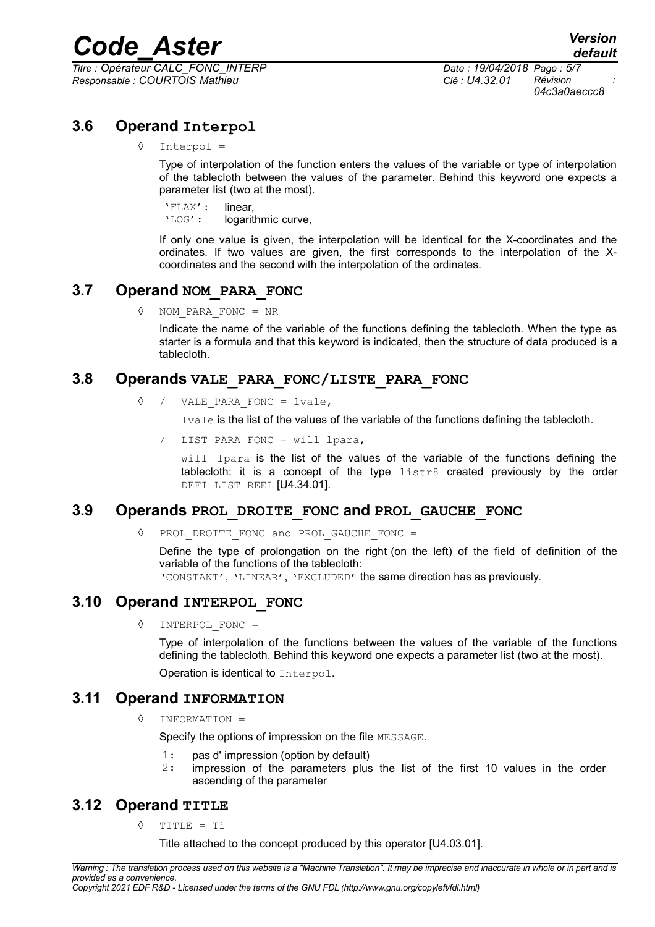*Titre : Opérateur CALC\_FONC\_INTERP Date : 19/04/2018 Page : 5/7 Responsable : COURTOIS Mathieu Clé : U4.32.01 Révision :*

*04c3a0aeccc8*

#### **3.6 Operand Interpol**

#### ◊ Interpol =

Type of interpolation of the function enters the values of the variable or type of interpolation of the tablecloth between the values of the parameter. Behind this keyword one expects a parameter list (two at the most).

'FLAX': linear, 'LOG': logarithmic curve,

If only one value is given, the interpolation will be identical for the X-coordinates and the ordinates. If two values are given, the first corresponds to the interpolation of the Xcoordinates and the second with the interpolation of the ordinates.

#### **3.7 Operand NOM\_PARA\_FONC**

◊ NOM\_PARA\_FONC = NR

Indicate the name of the variable of the functions defining the tablecloth. When the type as starter is a formula and that this keyword is indicated, then the structure of data produced is a tablecloth.

#### **3.8 Operands VALE\_PARA\_FONC/LISTE\_PARA\_FONC**

◊ / VALE\_PARA\_FONC = lvale,

lvale is the list of the values of the variable of the functions defining the tablecloth.

LIST PARA FONC = will lpara,

will lpara is the list of the values of the variable of the functions defining the tablecloth: it is a concept of the type  $listr8$  created previously by the order DEFI LIST REEL [U4.34.01].

#### **3.9 Operands PROL\_DROITE\_FONC and PROL\_GAUCHE\_FONC**

◊ PROL\_DROITE\_FONC and PROL\_GAUCHE\_FONC =

Define the type of prolongation on the right (on the left) of the field of definition of the variable of the functions of the tablecloth:

'CONSTANT', 'LINEAR', 'EXCLUDED' the same direction has as previously.

#### **3.10 Operand INTERPOL\_FONC**

◊ INTERPOL\_FONC =

Type of interpolation of the functions between the values of the variable of the functions defining the tablecloth. Behind this keyword one expects a parameter list (two at the most).

Operation is identical to Interpol.

#### **3.11 Operand INFORMATION**

◊ INFORMATION =

Specify the options of impression on the file MESSAGE.

- 1: pas d' impression (option by default)<br>2. impression of the parameters plus
	- impression of the parameters plus the list of the first 10 values in the order ascending of the parameter

#### **3.12 Operand TITLE**

◊ TITLE = Ti

Title attached to the concept produced by this operator [U4.03.01].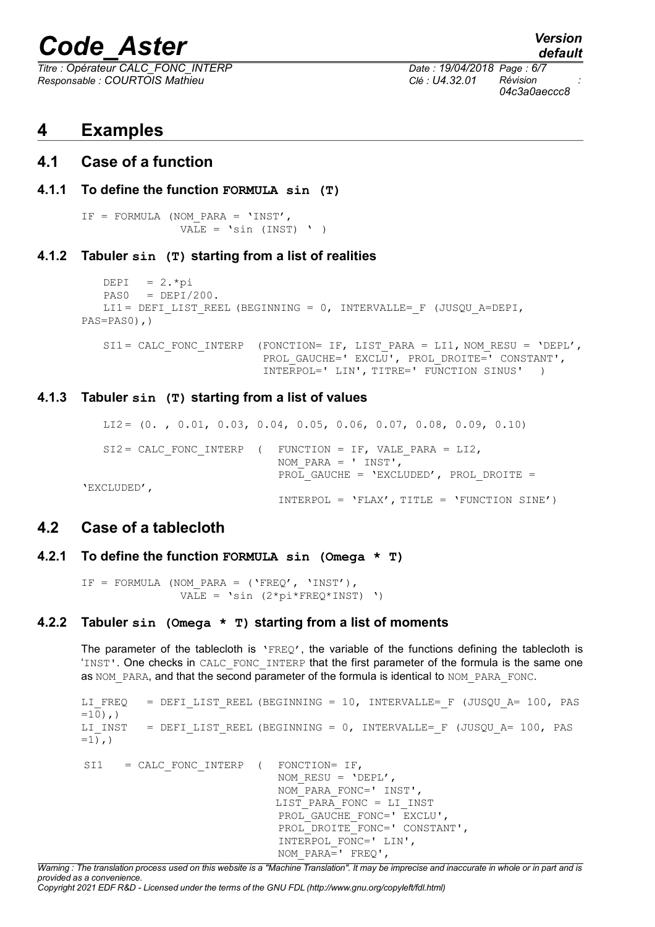*Titre : Opérateur CALC\_FONC\_INTERP Date : 19/04/2018 Page : 6/7 Responsable : COURTOIS Mathieu Clé : U4.32.01 Révision :*

## *default 04c3a0aeccc8*

#### **4 Examples**

#### **4.1 Case of a function**

#### **4.1.1 To define the function FORMULA sin (T)**

```
IF = FORMULA (NOM_PARA = 'INST',
              VALE = 'sin (INST) ' )
```
#### **4.1.2 Tabuler sin (T) starting from a list of realities**

```
DEPI = 2.*piPAS0 = DEPI/200.LI1 = DEFI LIST REEL (BEGINNING = 0, INTERVALLE= F (JUSQU A=DEPI,
PAS=PAS0),)
```
SI1 = CALC\_FONC\_INTERP (FONCTION= IF, LIST\_PARA = LI1, NOM\_RESU = 'DEPL', PROL GAUCHE=' EXCLU', PROL DROITE=' CONSTANT', INTERPOL=' LIN', TITRE=' FUNCTION SINUS' )

#### **4.1.3 Tabuler sin (T) starting from a list of values**

```
LI2 = (0. , 0.01, 0.03, 0.04, 0.05, 0.06, 0.07, 0.08, 0.09, 0.10)SI2 = CALC FONC INTERP ( FUNCTION = IF, VALE PARA = LI2,
                             NOM_PARA = ' INST',
                             PROL GAUCHE = 'EXCLUDED', PROL DROITE =
'EXCLUDED',
                             INTERPOL = 'FLAX', TITLE = 'FUNCTION SINE')
```
#### <span id="page-5-0"></span>**4.2 Case of a tablecloth**

**4.2.1 To define the function FORMULA sin (Omega \* T)**

IF = FORMULA (NOM PARA = ('FREQ', 'INST'), VALE =  $\text{sin}$  (2\*pi\*FREQ\*INST) ')

#### **4.2.2 Tabuler sin (Omega \* T) starting from a list of moments**

The parameter of the tablecloth is 'FREQ', the variable of the functions defining the tablecloth is 'INST'. One checks in CALC\_FONC\_INTERP that the first parameter of the formula is the same one as NOM\_PARA, and that the second parameter of the formula is identical to NOM\_PARA\_FONC.

LI\_FREQ = DEFI\_LIST\_REEL (BEGINNING = 10, INTERVALLE= F (JUSQU\_A= 100, PAS  $=10)$ , ) LI INST = DEFI LIST REEL (BEGINNING = 0, INTERVALLE= F (JUSQU A= 100, PAS  $=1$ ,  $)$ SI1 = CALC FONC INTERP ( FONCTION= IF, NOM RESU =  $'DEFL'$ , NOM\_PARA\_FONC=' INST',  $LIST$  PARA FONC = LI\_INST PROL GAUCHE FONC=' EXCLU', PROL DROITE FONC=' CONSTANT', INTERPOL\_FONC=' LIN', NOM\_PARA=' FREQ',